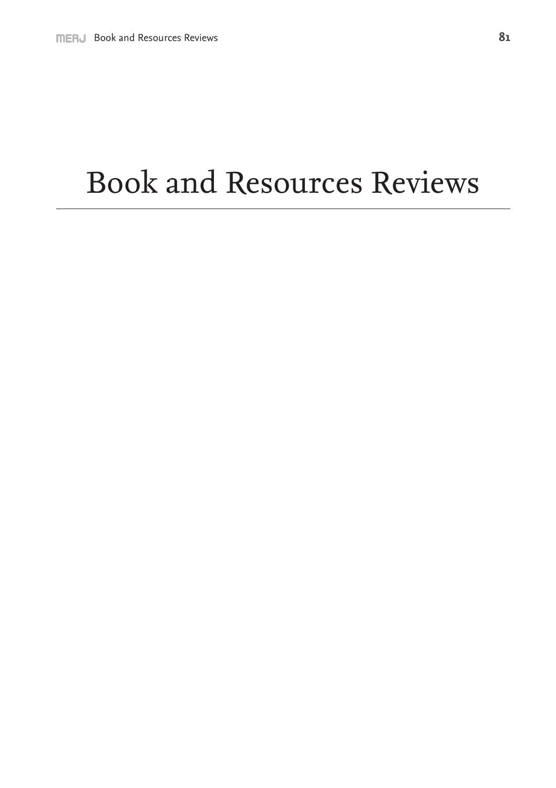## Book and Resources Reviews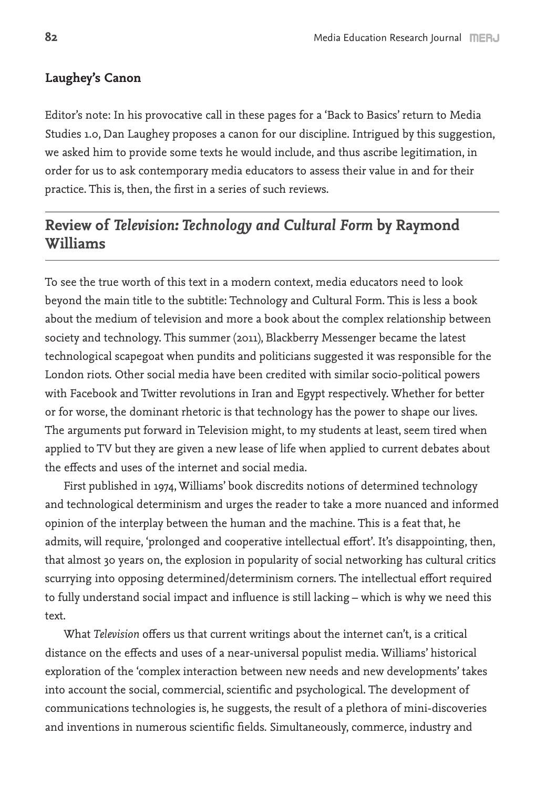## **Laughey's Canon**

Editor's note: In his provocative call in these pages for a 'Back to Basics' return to Media Studies 1.0, Dan Laughey proposes a canon for our discipline. Intrigued by this suggestion, we asked him to provide some texts he would include, and thus ascribe legitimation, in order for us to ask contemporary media educators to assess their value in and for their practice. This is, then, the first in a series of such reviews.

## **Review of** *Television: Technology and Cultural Form* **by Raymond Williams**

To see the true worth of this text in a modern context, media educators need to look beyond the main title to the subtitle: Technology and Cultural Form. This is less a book about the medium of television and more a book about the complex relationship between society and technology. This summer (2011), Blackberry Messenger became the latest technological scapegoat when pundits and politicians suggested it was responsible for the London riots. Other social media have been credited with similar socio-political powers with Facebook and Twitter revolutions in Iran and Egypt respectively. Whether for better or for worse, the dominant rhetoric is that technology has the power to shape our lives. The arguments put forward in Television might, to my students at least, seem tired when applied to TV but they are given a new lease of life when applied to current debates about the effects and uses of the internet and social media.

First published in 1974, Williams' book discredits notions of determined technology and technological determinism and urges the reader to take a more nuanced and informed opinion of the interplay between the human and the machine. This is a feat that, he admits, will require, 'prolonged and cooperative intellectual effort'. It's disappointing, then, that almost 30 years on, the explosion in popularity of social networking has cultural critics scurrying into opposing determined/determinism corners. The intellectual effort required to fully understand social impact and influence is still lacking – which is why we need this text.

What *Television* offers us that current writings about the internet can't, is a critical distance on the effects and uses of a near-universal populist media. Williams' historical exploration of the 'complex interaction between new needs and new developments' takes into account the social, commercial, scientific and psychological. The development of communications technologies is, he suggests, the result of a plethora of mini-discoveries and inventions in numerous scientific fields. Simultaneously, commerce, industry and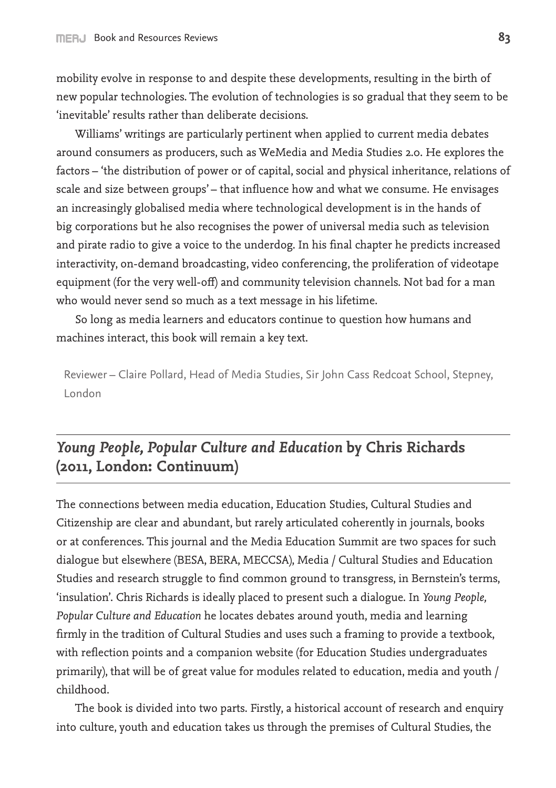mobility evolve in response to and despite these developments, resulting in the birth of new popular technologies. The evolution of technologies is so gradual that they seem to be 'inevitable' results rather than deliberate decisions.

Williams' writings are particularly pertinent when applied to current media debates around consumers as producers, such as WeMedia and Media Studies 2.0. He explores the factors – 'the distribution of power or of capital, social and physical inheritance, relations of scale and size between groups' – that influence how and what we consume. He envisages an increasingly globalised media where technological development is in the hands of big corporations but he also recognises the power of universal media such as television and pirate radio to give a voice to the underdog. In his final chapter he predicts increased interactivity, on-demand broadcasting, video conferencing, the proliferation of videotape equipment (for the very well-off) and community television channels. Not bad for a man who would never send so much as a text message in his lifetime.

So long as media learners and educators continue to question how humans and machines interact, this book will remain a key text.

Reviewer – Claire Pollard, Head of Media Studies, Sir John Cass Redcoat School, Stepney, London

## *Young People, Popular Culture and Education* **by Chris Richards (2011, London: Continuum)**

The connections between media education, Education Studies, Cultural Studies and Citizenship are clear and abundant, but rarely articulated coherently in journals, books or at conferences. This journal and the Media Education Summit are two spaces for such dialogue but elsewhere (BESA, BERA, MECCSA), Media / Cultural Studies and Education Studies and research struggle to find common ground to transgress, in Bernstein's terms, 'insulation'. Chris Richards is ideally placed to present such a dialogue. In *Young People, Popular Culture and Education* he locates debates around youth, media and learning firmly in the tradition of Cultural Studies and uses such a framing to provide a textbook, with reflection points and a companion website (for Education Studies undergraduates primarily), that will be of great value for modules related to education, media and youth / childhood.

The book is divided into two parts. Firstly, a historical account of research and enquiry into culture, youth and education takes us through the premises of Cultural Studies, the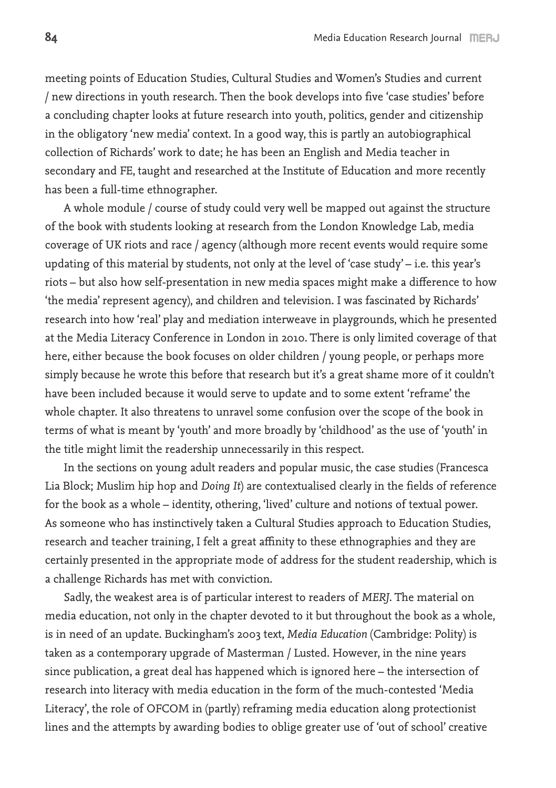meeting points of Education Studies, Cultural Studies and Women's Studies and current / new directions in youth research. Then the book develops into five 'case studies' before a concluding chapter looks at future research into youth, politics, gender and citizenship in the obligatory 'new media' context. In a good way, this is partly an autobiographical collection of Richards' work to date; he has been an English and Media teacher in secondary and FE, taught and researched at the Institute of Education and more recently has been a full-time ethnographer.

A whole module / course of study could very well be mapped out against the structure of the book with students looking at research from the London Knowledge Lab, media coverage of UK riots and race / agency (although more recent events would require some updating of this material by students, not only at the level of 'case study' – i.e. this year's riots – but also how self-presentation in new media spaces might make a difference to how 'the media' represent agency), and children and television. I was fascinated by Richards' research into how 'real' play and mediation interweave in playgrounds, which he presented at the Media Literacy Conference in London in 2010. There is only limited coverage of that here, either because the book focuses on older children / young people, or perhaps more simply because he wrote this before that research but it's a great shame more of it couldn't have been included because it would serve to update and to some extent 'reframe' the whole chapter. It also threatens to unravel some confusion over the scope of the book in terms of what is meant by 'youth' and more broadly by 'childhood' as the use of 'youth' in the title might limit the readership unnecessarily in this respect.

In the sections on young adult readers and popular music, the case studies (Francesca Lia Block; Muslim hip hop and *Doing It*) are contextualised clearly in the fields of reference for the book as a whole – identity, othering, 'lived' culture and notions of textual power. As someone who has instinctively taken a Cultural Studies approach to Education Studies, research and teacher training, I felt a great affinity to these ethnographies and they are certainly presented in the appropriate mode of address for the student readership, which is a challenge Richards has met with conviction.

Sadly, the weakest area is of particular interest to readers of *MERJ*. The material on media education, not only in the chapter devoted to it but throughout the book as a whole, is in need of an update. Buckingham's 2003 text, *Media Education* (Cambridge: Polity) is taken as a contemporary upgrade of Masterman / Lusted. However, in the nine years since publication, a great deal has happened which is ignored here – the intersection of research into literacy with media education in the form of the much-contested 'Media Literacy', the role of OFCOM in (partly) reframing media education along protectionist lines and the attempts by awarding bodies to oblige greater use of 'out of school' creative